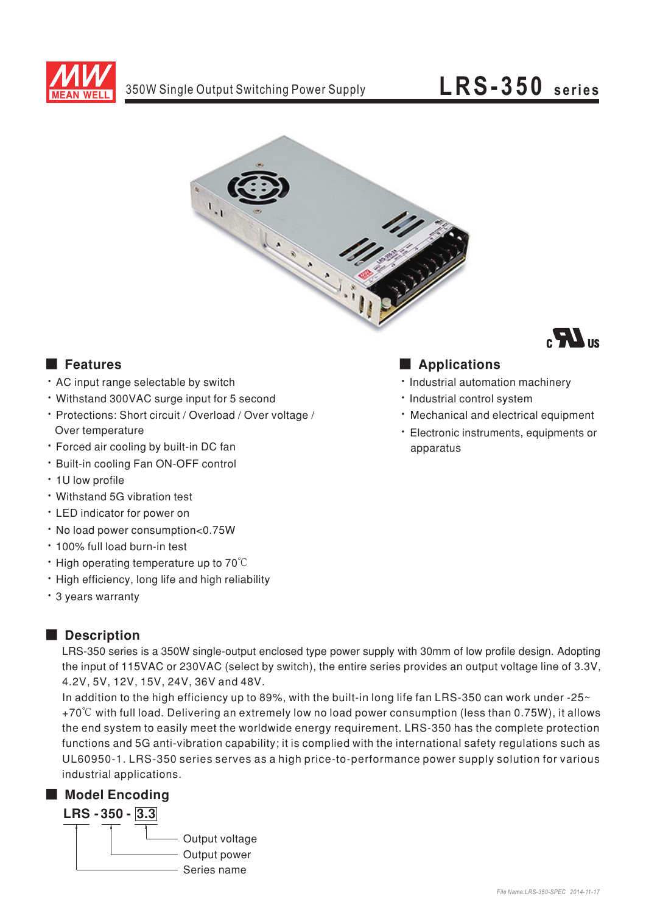

## $LRS-350$  series



### **E** Features

- . AC input range selectable by switch
- . Withstand 300VAC surge input for 5 second
- · Protections: Short circuit / Overload / Over voltage / Over temperature
- Forced air cooling by built-in DC fan
- \* Built-in cooling Fan ON-OFF control
- · 1U low profile
- Withstand 5G vibration test
- LED indicator for power on
- . No load power consumption<0.75W
- · 100% full load burn-in test
- High operating temperature up to 70°C
- · High efficiency, long life and high reliability
- \* 3 years warranty

### Description

LRS-350 series is a 350W single-output enclosed type power supply with 30mm of low profile design. Adopting the input of 115VAC or 230VAC (select by switch), the entire series provides an output voltage line of 3.3V, 4.2V, 5V, 12V, 15V, 24V, 36V and 48V.

In addition to the high efficiency up to 89%, with the built-in long life fan LRS-350 can work under -25~ +70°C with full load. Delivering an extremely low no load power consumption (less than 0.75W), it allows the end system to easily meet the worldwide energy requirement. LRS-350 has the complete protection functions and 5G anti-vibration capability; it is complied with the international safety regulations such as UL60950-1. LRS-350 series serves as a high price-to-performance power supply solution for various industrial applications.

### Model Encoding



### Applications

- · Industrial automation machinery
- · Industrial control system
- · Mechanical and electrical equipment
- · Electronic instruments, equipments or apparatus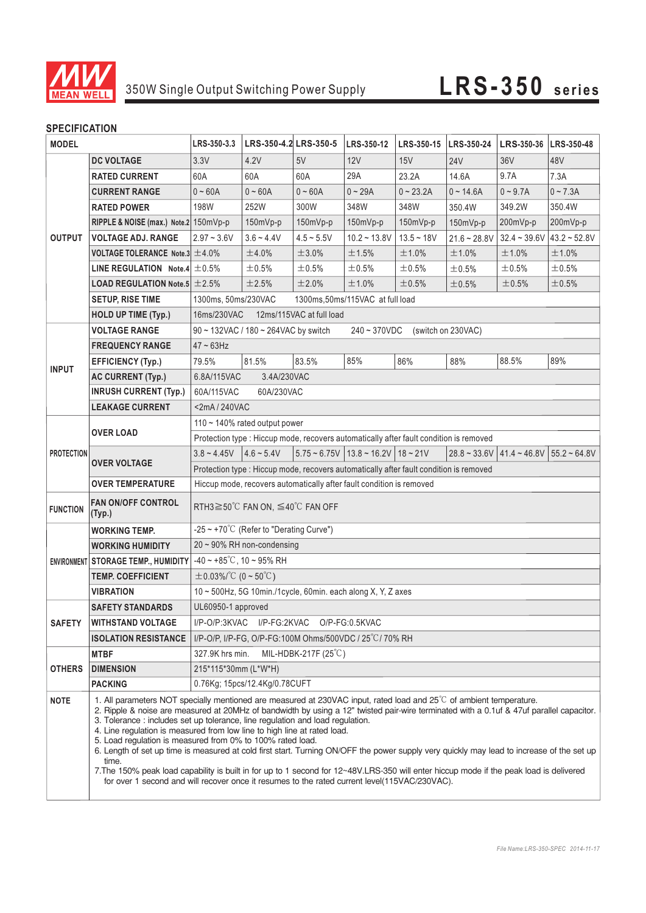

# 350W Single Output Switching Power Supply **LRS-350 series**

| <b>MODEL</b>      |                                                                                                  | LRS-350-3.3                                                                                                                                                                                                                                                                                                                                                                                                                                                                                                                                                                                                                                                                                                                                                                                                                                                                          | LRS-350-4.2 LRS-350-5 |                 | LRS-350-12                                                 | LRS-350-15   LRS-350-24 |                | LRS-350-36   LRS-350-48 |                                                |  |
|-------------------|--------------------------------------------------------------------------------------------------|--------------------------------------------------------------------------------------------------------------------------------------------------------------------------------------------------------------------------------------------------------------------------------------------------------------------------------------------------------------------------------------------------------------------------------------------------------------------------------------------------------------------------------------------------------------------------------------------------------------------------------------------------------------------------------------------------------------------------------------------------------------------------------------------------------------------------------------------------------------------------------------|-----------------------|-----------------|------------------------------------------------------------|-------------------------|----------------|-------------------------|------------------------------------------------|--|
| <b>OUTPUT</b>     | <b>DC VOLTAGE</b>                                                                                | 3.3V                                                                                                                                                                                                                                                                                                                                                                                                                                                                                                                                                                                                                                                                                                                                                                                                                                                                                 | 4.2V                  | 5V              | 12V                                                        | 15V                     | <b>24V</b>     | 36 <sub>V</sub>         | 48V                                            |  |
|                   | <b>RATED CURRENT</b>                                                                             | 60A                                                                                                                                                                                                                                                                                                                                                                                                                                                                                                                                                                                                                                                                                                                                                                                                                                                                                  | 60A                   | 60A             | 29A                                                        | 23.2A                   | 14.6A          | 9.7A                    | 7.3A                                           |  |
|                   | <b>CURRENT RANGE</b>                                                                             | $0 - 60A$                                                                                                                                                                                                                                                                                                                                                                                                                                                                                                                                                                                                                                                                                                                                                                                                                                                                            | $0 - 60A$             | $0 - 60A$       | $0 - 29A$                                                  | $0 - 23.2A$             | $0 - 14.6A$    | $0 - 9.7A$              | $0 - 7.3A$                                     |  |
|                   | <b>RATED POWER</b>                                                                               | 198W                                                                                                                                                                                                                                                                                                                                                                                                                                                                                                                                                                                                                                                                                                                                                                                                                                                                                 | 252W                  | 300W            | 348W                                                       | 348W                    | 350.4W         | 349.2W                  | 350.4W                                         |  |
|                   | RIPPLE & NOISE (max.) Note.2 150mVp-p                                                            |                                                                                                                                                                                                                                                                                                                                                                                                                                                                                                                                                                                                                                                                                                                                                                                                                                                                                      | 150mVp-p              | 150mVp-p        | 150mVp-p                                                   | 150mVp-p                | 150mVp-p       | 200mVp-p                | 200mVp-p                                       |  |
|                   | <b>VOLTAGE ADJ. RANGE</b>                                                                        | $2.97 - 3.6V$                                                                                                                                                                                                                                                                                                                                                                                                                                                                                                                                                                                                                                                                                                                                                                                                                                                                        | $3.6 - 4.4V$          | $4.5 \sim 5.5V$ | $10.2 - 13.8V$                                             | $13.5 - 18V$            | $21.6 - 28.8V$ | $32.4 - 39.6V$          | $43.2 - 52.8V$                                 |  |
|                   | <b>VOLTAGE TOLERANCE Note.3 <math>\pm</math> 4.0%</b>                                            |                                                                                                                                                                                                                                                                                                                                                                                                                                                                                                                                                                                                                                                                                                                                                                                                                                                                                      | ±4.0%                 | ±3.0%           | ±1.5%                                                      | ±1.0%                   | ±1.0%          | ±1.0%                   | ±1.0%                                          |  |
|                   | LINE REGULATION Note.4 $\pm$ 0.5%                                                                |                                                                                                                                                                                                                                                                                                                                                                                                                                                                                                                                                                                                                                                                                                                                                                                                                                                                                      | $\pm 0.5\%$           | ±0.5%           | ±0.5%                                                      | ±0.5%                   | ±0.5%          | ±0.5%                   | ±0.5%                                          |  |
|                   | <b>LOAD REGULATION Note.5 <math>\pm 2.5\%</math></b>                                             |                                                                                                                                                                                                                                                                                                                                                                                                                                                                                                                                                                                                                                                                                                                                                                                                                                                                                      | ±2.5%                 | ±2.0%           | ±1.0%                                                      | ±0.5%                   | ±0.5%          | ±0.5%                   | ±0.5%                                          |  |
|                   | <b>SETUP, RISE TIME</b>                                                                          | 1300ms, 50ms/230VAC<br>1300ms, 50ms/115VAC at full load                                                                                                                                                                                                                                                                                                                                                                                                                                                                                                                                                                                                                                                                                                                                                                                                                              |                       |                 |                                                            |                         |                |                         |                                                |  |
|                   | <b>HOLD UP TIME (Typ.)</b>                                                                       | 16ms/230VAC<br>12ms/115VAC at full load                                                                                                                                                                                                                                                                                                                                                                                                                                                                                                                                                                                                                                                                                                                                                                                                                                              |                       |                 |                                                            |                         |                |                         |                                                |  |
|                   | <b>VOLTAGE RANGE</b><br>90 ~ 132VAC / 180 ~ 264VAC by switch<br>240~370VDC<br>(switch on 230VAC) |                                                                                                                                                                                                                                                                                                                                                                                                                                                                                                                                                                                                                                                                                                                                                                                                                                                                                      |                       |                 |                                                            |                         |                |                         |                                                |  |
| <b>INPUT</b>      | <b>FREQUENCY RANGE</b>                                                                           | $47 \sim 63$ Hz                                                                                                                                                                                                                                                                                                                                                                                                                                                                                                                                                                                                                                                                                                                                                                                                                                                                      |                       |                 |                                                            |                         |                |                         |                                                |  |
|                   | <b>EFFICIENCY (Typ.)</b>                                                                         | 79.5%                                                                                                                                                                                                                                                                                                                                                                                                                                                                                                                                                                                                                                                                                                                                                                                                                                                                                | 81.5%                 | 83.5%           | 85%                                                        | 86%                     | 88%            | 88.5%                   | 89%                                            |  |
|                   | <b>AC CURRENT (Typ.)</b>                                                                         | 3.4A/230VAC<br>6.8A/115VAC                                                                                                                                                                                                                                                                                                                                                                                                                                                                                                                                                                                                                                                                                                                                                                                                                                                           |                       |                 |                                                            |                         |                |                         |                                                |  |
|                   | <b>INRUSH CURRENT (Typ.)</b>                                                                     | 60A/115VAC<br>60A/230VAC                                                                                                                                                                                                                                                                                                                                                                                                                                                                                                                                                                                                                                                                                                                                                                                                                                                             |                       |                 |                                                            |                         |                |                         |                                                |  |
|                   | <b>LEAKAGE CURRENT</b>                                                                           | <2mA / 240VAC                                                                                                                                                                                                                                                                                                                                                                                                                                                                                                                                                                                                                                                                                                                                                                                                                                                                        |                       |                 |                                                            |                         |                |                         |                                                |  |
| <b>PROTECTION</b> | <b>OVER LOAD</b>                                                                                 | 110 $\sim$ 140% rated output power                                                                                                                                                                                                                                                                                                                                                                                                                                                                                                                                                                                                                                                                                                                                                                                                                                                   |                       |                 |                                                            |                         |                |                         |                                                |  |
|                   |                                                                                                  | Protection type : Hiccup mode, recovers automatically after fault condition is removed                                                                                                                                                                                                                                                                                                                                                                                                                                                                                                                                                                                                                                                                                                                                                                                               |                       |                 |                                                            |                         |                |                         |                                                |  |
|                   | <b>OVER VOLTAGE</b>                                                                              | $3.8 \sim 4.45V$   $4.6 \sim 5.4V$                                                                                                                                                                                                                                                                                                                                                                                                                                                                                                                                                                                                                                                                                                                                                                                                                                                   |                       |                 | $5.75 \approx 6.75V$ 13.8 $\approx 16.2V$ 18 $\approx 21V$ |                         |                |                         | $28.8 \approx 33.6V$ 41.4 ~ 46.8V 55.2 ~ 64.8V |  |
|                   |                                                                                                  | Protection type : Hiccup mode, recovers automatically after fault condition is removed                                                                                                                                                                                                                                                                                                                                                                                                                                                                                                                                                                                                                                                                                                                                                                                               |                       |                 |                                                            |                         |                |                         |                                                |  |
|                   | <b>OVER TEMPERATURE</b>                                                                          | Hiccup mode, recovers automatically after fault condition is removed                                                                                                                                                                                                                                                                                                                                                                                                                                                                                                                                                                                                                                                                                                                                                                                                                 |                       |                 |                                                            |                         |                |                         |                                                |  |
| <b>FUNCTION</b>   | <b>FAN ON/OFF CONTROL</b><br>(Typ.)                                                              | RTH3≧50℃ FAN ON, ≦40℃ FAN OFF                                                                                                                                                                                                                                                                                                                                                                                                                                                                                                                                                                                                                                                                                                                                                                                                                                                        |                       |                 |                                                            |                         |                |                         |                                                |  |
|                   | <b>WORKING TEMP.</b>                                                                             | $-25 \sim +70^{\circ}$ C (Refer to "Derating Curve")                                                                                                                                                                                                                                                                                                                                                                                                                                                                                                                                                                                                                                                                                                                                                                                                                                 |                       |                 |                                                            |                         |                |                         |                                                |  |
|                   | <b>WORKING HUMIDITY</b>                                                                          | $20 \sim 90\%$ RH non-condensing                                                                                                                                                                                                                                                                                                                                                                                                                                                                                                                                                                                                                                                                                                                                                                                                                                                     |                       |                 |                                                            |                         |                |                         |                                                |  |
|                   | ENVIRONMENT STORAGE TEMP., HUMIDITY                                                              | -40 ~ +85°C, 10 ~ 95% RH                                                                                                                                                                                                                                                                                                                                                                                                                                                                                                                                                                                                                                                                                                                                                                                                                                                             |                       |                 |                                                            |                         |                |                         |                                                |  |
|                   | <b>TEMP. COEFFICIENT</b>                                                                         | $\pm$ 0.03%/°C (0 ~ 50°C)                                                                                                                                                                                                                                                                                                                                                                                                                                                                                                                                                                                                                                                                                                                                                                                                                                                            |                       |                 |                                                            |                         |                |                         |                                                |  |
|                   | <b>VIBRATION</b>                                                                                 | 10 ~ 500Hz, 5G 10min./1cycle, 60min. each along X, Y, Z axes                                                                                                                                                                                                                                                                                                                                                                                                                                                                                                                                                                                                                                                                                                                                                                                                                         |                       |                 |                                                            |                         |                |                         |                                                |  |
|                   | <b>SAFETY STANDARDS</b>                                                                          | UL60950-1 approved                                                                                                                                                                                                                                                                                                                                                                                                                                                                                                                                                                                                                                                                                                                                                                                                                                                                   |                       |                 |                                                            |                         |                |                         |                                                |  |
| <b>SAFETY</b>     | <b>WITHSTAND VOLTAGE</b>                                                                         | I/P-O/P:3KVAC<br>I/P-FG:2KVAC<br>O/P-FG:0.5KVAC                                                                                                                                                                                                                                                                                                                                                                                                                                                                                                                                                                                                                                                                                                                                                                                                                                      |                       |                 |                                                            |                         |                |                         |                                                |  |
|                   | <b>ISOLATION RESISTANCE</b>                                                                      | I/P-O/P, I/P-FG, O/P-FG:100M Ohms/500VDC / 25°C/70% RH                                                                                                                                                                                                                                                                                                                                                                                                                                                                                                                                                                                                                                                                                                                                                                                                                               |                       |                 |                                                            |                         |                |                         |                                                |  |
|                   | <b>MTBF</b><br>327.9K hrs min.<br>MIL-HDBK-217F $(25^{\circ}C)$                                  |                                                                                                                                                                                                                                                                                                                                                                                                                                                                                                                                                                                                                                                                                                                                                                                                                                                                                      |                       |                 |                                                            |                         |                |                         |                                                |  |
| <b>OTHERS</b>     | <b>DIMENSION</b>                                                                                 | 215*115*30mm (L*W*H)                                                                                                                                                                                                                                                                                                                                                                                                                                                                                                                                                                                                                                                                                                                                                                                                                                                                 |                       |                 |                                                            |                         |                |                         |                                                |  |
|                   | <b>PACKING</b>                                                                                   | 0.76Kg; 15pcs/12.4Kg/0.78CUFT                                                                                                                                                                                                                                                                                                                                                                                                                                                                                                                                                                                                                                                                                                                                                                                                                                                        |                       |                 |                                                            |                         |                |                         |                                                |  |
| <b>NOTE</b>       | time.                                                                                            | 1. All parameters NOT specially mentioned are measured at 230VAC input, rated load and 25°C of ambient temperature.<br>2. Ripple & noise are measured at 20MHz of bandwidth by using a 12" twisted pair-wire terminated with a 0.1uf & 47uf parallel capacitor.<br>3. Tolerance : includes set up tolerance, line regulation and load regulation.<br>4. Line regulation is measured from low line to high line at rated load.<br>5. Load regulation is measured from 0% to 100% rated load.<br>6. Length of set up time is measured at cold first start. Turning ON/OFF the power supply very quickly may lead to increase of the set up<br>7. The 150% peak load capability is built in for up to 1 second for 12~48V.LRS-350 will enter hiccup mode if the peak load is delivered<br>for over 1 second and will recover once it resumes to the rated current level(115VAC/230VAC). |                       |                 |                                                            |                         |                |                         |                                                |  |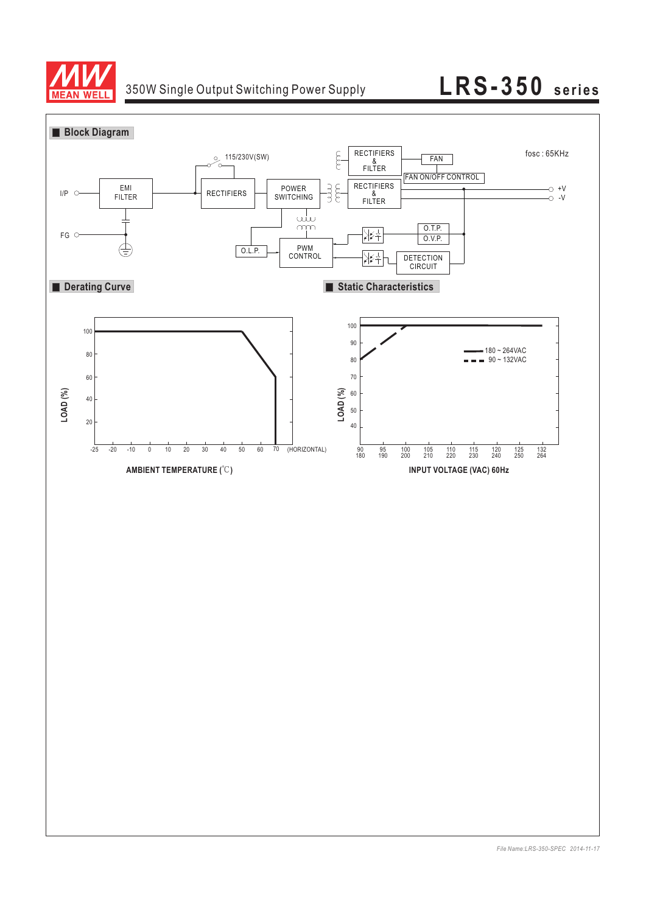

# 350W Single Output Switching Power Supply **LRS-350 series**